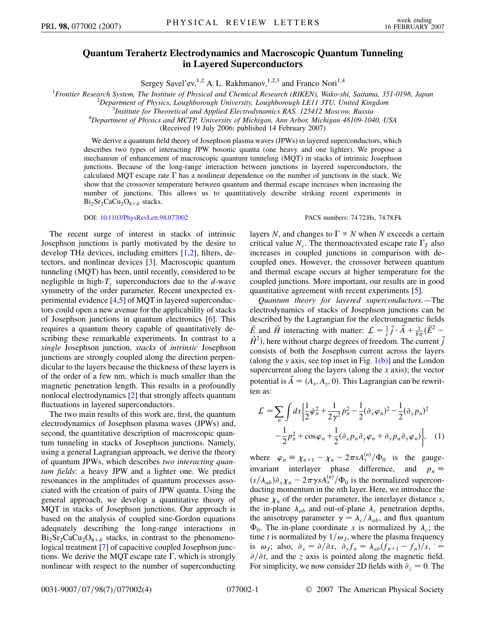## **Quantum Terahertz Electrodynamics and Macroscopic Quantum Tunneling in Layered Superconductors**

Sergey Savel'ev,<sup>1,2</sup> A. L. Rakhmanov,<sup>1,2,3</sup> and Franco Nori<sup>1,4</sup>

<sup>1</sup> Frontier Research System, The Institute of Physical and Chemical Research (RIKEN), Wako-shi, Saitama, 351-0198, Japan<br><sup>2</sup> Department of Physics Loughborough University Loughborough LEU 3TU United Kingdom

<sup>2</sup>Department of Physics, Loughborough University, Loughborough LE11 3TU, United Kingdom

*Institute for Theoretical and Applied Electrodynamics RAS, 125412 Moscow, Russia* <sup>4</sup>

*Department of Physics and MCTP, University of Michigan, Ann Arbor, Michigan 48109-1040, USA*

(Received 19 July 2006; published 14 February 2007)

We derive a quantum field theory of Josephson plasma waves (JPWs) in layered superconductors, which describes two types of interacting JPW bosonic quanta (one heavy and one lighter). We propose a mechanism of enhancement of macroscopic quantum tunneling (MQT) in stacks of intrinsic Josephson junctions. Because of the long-range interaction between junctions in layered superconductors, the calculated MQT escape rate  $\Gamma$  has a nonlinear dependence on the number of junctions in the stack. We show that the crossover temperature between quantum and thermal escape increases when increasing the number of junctions. This allows us to quantitatively describe striking recent experiments in  $Bi<sub>2</sub>Sr<sub>2</sub>CaCu<sub>2</sub>O<sub>8+\delta</sub>$  stacks.

DOI: [10.1103/PhysRevLett.98.077002](http://dx.doi.org/10.1103/PhysRevLett.98.077002) PACS numbers: 74.72.Hs, 74.78.Fk

The recent surge of interest in stacks of intrinsic Josephson junctions is partly motivated by the desire to develop THz devices, including emitters [\[1](#page-3-0)[,2](#page-3-1)], filters, detectors, and nonlinear devices [\[3\]](#page-3-2). Macroscopic quantum tunneling (MQT) has been, until recently, considered to be negligible in high- $T_c$  superconductors due to the *d*-wave symmetry of the order parameter. Recent unexpected experimental evidence [\[4](#page-3-3),[5](#page-3-4)] of MQT in layered superconductors could open a new avenue for the applicability of stacks of Josephson junctions in quantum electronics [[6\]](#page-3-5). This requires a quantum theory capable of quantitatively describing these remarkable experiments. In contrast to a *single* Josephson junction, *stacks* of *intrinsic* Josephson junctions are strongly coupled along the direction perpendicular to the layers because the thickness of these layers is of the order of a few nm, which is much smaller than the magnetic penetration length. This results in a profoundly nonlocal electrodynamics [[2](#page-3-1)] that strongly affects quantum fluctuations in layered superconductors.

The two main results of this work are, first, the quantum electrodynamics of Josephson plasma waves (JPWs) and, second, the quantitative description of macroscopic quantum tunneling in stacks of Josephson junctions. Namely, using a general Lagrangian approach, we derive the theory of quantum JPWs, which describes *two interacting quantum fields*: a heavy JPW and a lighter one. We predict resonances in the amplitudes of quantum processes associated with the creation of pairs of JPW quanta. Using the general approach, we develop a quantitative theory of MQT in stacks of Josephson junctions. Our approach is based on the analysis of coupled sine-Gordon equations adequately describing the long-range interactions in  $Bi_2Sr_2CaCu_2O_{8+\delta}$  stacks, in contrast to the phenomenological treatment [\[7\]](#page-3-6) of capacitive coupled Josephson junctions. We derive the MQT escape rate  $\Gamma$ , which is strongly nonlinear with respect to the number of superconducting

layers *N*, and changes to  $\Gamma \propto N$  when *N* exceeds a certain critical value  $N_c$ . The thermoactivated escape rate  $\Gamma_T$  also increases in coupled junctions in comparison with decoupled ones. However, the crossover between quantum and thermal escape occurs at higher temperature for the coupled junctions. More important, our results are in good quantitative agreement with recent experiments [\[5](#page-3-4)].

*Quantum theory for layered superconductors.—*The electrodynamics of stacks of Josephson junctions can be described by the Lagrangian for the electromagnetic fields  $\vec{E}$  and  $\vec{H}$  interacting with matter:  $\mathcal{L} = \frac{1}{c}\vec{j} \cdot \vec{A} + \frac{1}{8\pi}(\vec{E}^2 \vec{H}^2$ ), here without charge degrees of freedom. The current  $\vec{j}$ consists of both the Josephson current across the layers (along the *y* axis, see top inset in Fig. [1\(b\)](#page-1-0)] and the London supercurrent along the layers (along the *x* axis); the vector potential is  $\vec{A} = (A_x, A_y, 0)$ . This Lagrangian can be rewritten as:

<span id="page-0-0"></span>
$$
\mathcal{L} = \sum_{n} \int dx \left\{ \frac{1}{2} \dot{\varphi}_{n}^{2} + \frac{1}{2\gamma^{2}} \dot{p}_{n}^{2} - \frac{1}{2} (\partial_{x} \varphi_{n})^{2} - \frac{1}{2} (\partial_{y} p_{n})^{2} - \frac{1}{2} p_{n}^{2} + \cos \varphi_{n} + \frac{1}{2} (\partial_{x} p_{n} \partial_{y} \varphi_{n} + \partial_{y} p_{n} \partial_{x} \varphi_{n}) \right\}, \quad (1)
$$

where  $\varphi_n \equiv \chi_{n+1} - \chi_n - 2\pi s A_y^{(n)}/\Phi_0$  is the gaugeinvariant interlayer phase difference, and  $p_n \equiv$  $(s/\lambda_{ab})\partial_x \chi_n - 2\pi \gamma s A_x^{(n)}/\Phi_0$  is the normalized superconducting momentum in the *n*th layer. Here, we introduce the phase  $\chi_n$  of the order parameter, the interlayer distance *s*, the in-plane  $\lambda_{ab}$  and out-of-plane  $\lambda_c$  penetration depths, the anisotropy parameter  $\gamma = \lambda_c / \lambda_{ab}$ , and flux quantum  $\Phi_0$ . The in-plane coordinate *x* is normalized by  $\lambda_c$ ; the time *t* is normalized by  $1/\omega_J$ , where the plasma frequency is  $\omega_j$ ; also,  $\partial_x = \partial/\partial x$ ,  $\partial_y f_n = \lambda_{ab} (f_{n+1} - f_n)/s$ ,  $=$  $\partial/\partial t$ , and the *z* axis is pointed along the magnetic field. For simplicity, we now consider 2D fields with  $\partial_z = 0$ . The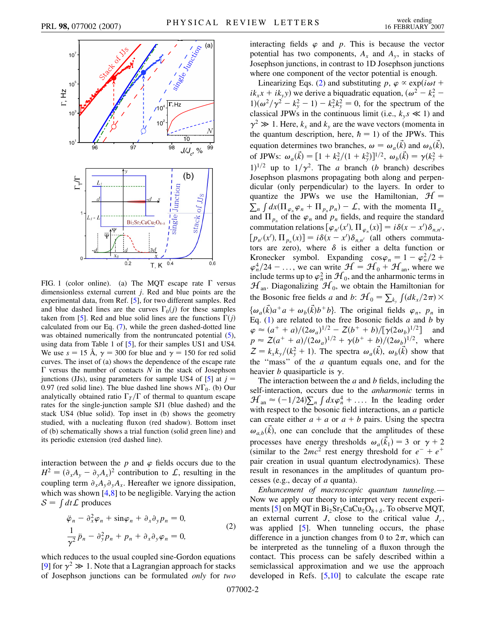<span id="page-1-2"></span>

<span id="page-1-0"></span>FIG. 1 (color online). (a) The MQT escape rate  $\Gamma$  versus dimensionless external current *j*. Red and blue points are the experimental data, from Ref. [[5\]](#page-3-4), for two different samples. Red and blue dashed lines are the curves  $\Gamma_0(j)$  for these samples taken from [[5](#page-3-4)]. Red and blue solid lines are the functions  $\Gamma(j)$ calculated from our Eq. [\(7\)](#page-3-10), while the green dashed-dotted line was obtained numerically from the nontruncated potential  $(5)$  $(5)$ , using data from Table 1 of [\[5\]](#page-3-4), for their samples US1 and US4. We use  $s = 15 \text{ Å}$ ,  $\gamma = 300$  for blue and  $\gamma = 150$  for red solid curves. The inset of (a) shows the dependence of the escape rate  $\Gamma$  versus the number of contacts  $N$  in the stack of Josephson junctions (JJs), using parameters for sample US4 of  $[5]$  at  $j =$ 0.97 (red solid line). The blue dashed line shows  $N\Gamma_0$ . (b) Our analytically obtained ratio  $\Gamma_T/\Gamma$  of thermal to quantum escape rates for the single-junction sample SJ1 (blue dashed) and the stack US4 (blue solid). Top inset in (b) shows the geometry studied, with a nucleating fluxon (red shadow). Bottom inset of (b) schematically shows a trial function (solid green line) and its periodic extension (red dashed line).

interaction between the  $p$  and  $\varphi$  fields occurs due to the  $H^2 = (\partial_x A_y - \partial_y A_x)^2$  contribution to L, resulting in the coupling term  $\partial_{x}A_{y}\partial_{y}A_{x}$ . Hereafter we ignore dissipation, which was shown [[4](#page-3-3)[,8\]](#page-3-7) to be negligible. Varying the action which was shown  $[-7, 6]$ <br> $S = \int dt \mathcal{L}$  produces

<span id="page-1-1"></span>
$$
\ddot{\varphi}_n - \partial_x^2 \varphi_n + \sin \varphi_n + \partial_x \partial_y p_n = 0,
$$
  

$$
\frac{1}{\gamma^2} \ddot{p}_n - \partial_y^2 p_n + p_n + \partial_x \partial_y \varphi_n = 0,
$$
 (2)

which reduces to the usual coupled sine-Gordon equations [\[9\]](#page-3-8) for  $\gamma^2 \gg 1$ . Note that a Lagrangian approach for stacks of Josephson junctions can be formulated *only* for *two* interacting fields  $\varphi$  and  $\varphi$ . This is because the vector potential has two components,  $A_x$  and  $A_y$ , in stacks of Josephson junctions, in contrast to 1D Josephson junctions where one component of the vector potential is enough.

Linearizing Eqs. ([2\)](#page-1-1) and substituting  $p, \varphi \propto \exp(i\omega t +$  $i k_x x + i k_y y$  we derive a biquadratic equation,  $(\omega^2 - k_x^2 - \omega^2)$  $1$  $\left(\frac{\omega^2}{\gamma^2} - k_y^2 - 1\right) - k_x^2 k_y^2 = 0$ , for the spectrum of the classical JPWs in the continuous limit (i.e.,  $k_y s \ll 1$ ) and  $\gamma^2 \gg 1$ . Here,  $k_x$  and  $k_y$  are the wave vectors (momenta in the quantum description, here,  $\hbar = 1$ ) of the JPWs. This equation determines two branches,  $\omega = \omega_a(\vec{k})$  and  $\omega_b(\vec{k})$ , of JPWs:  $\omega_a(\vec{k}) = [1 + k_x^2/(1 + k_y^2)]^{1/2}, \ \omega_b(\vec{k}) = \gamma(k_y^2 + k_y^2)$  $1)^{1/2}$  up to  $1/\gamma^2$ . The *a* branch (*b* branch) describes Josephson plasmons propagating both along and perpendicular (only perpendicular) to the layers. In order to quantize the JPWs we use the Hamiltonian,  $H =$  $\sum_{n} \int dx (\prod_{\varphi_n} \varphi_n + \prod_{p_n} p_n) - \mathcal{L}$ , with the momenta  $\Pi_{\varphi_n}$ and  $\Pi_{p_n}$  of the  $\varphi_n$  and  $p_n$  fields, and require the standard commutation relations  $[\varphi_{n'}(x'), \Pi_{\varphi_n}(x)] = i\delta(x - x')\delta_{n,n'}$ ,  $[p_{n'}(x'), \Pi_{p_n}(x)] = i\delta(x - x')\delta_{n,n'}$  (all others commutators are zero), where  $\delta$  is either a delta function or Kronecker symbol. Expanding  $\cos \varphi_n = 1 - \varphi_n^2/2 +$  $\varphi_n^4/24 - \ldots$ , we can write  $\mathcal{H} = \mathcal{H}_0 + \mathcal{H}_{an}$ , where we include terms up to  $\varphi_n^2$  in  $\mathcal{H}_0$ , and the anharmonic terms in  $\mathcal{H}_{\text{an}}$ . Diagonalizing  $\mathcal{H}_0$ , we obtain the Hamiltonian for the Bosonic free fields *a* and *b*:  $\mathcal{H}_0 = \sum_{k_y}$  $\int (dk_x/2\pi)$  ×  $\{\omega_a(\vec{k})a^+a + \omega_b(\vec{k})b^+b\}$ . The original fields  $\varphi_n$ ,  $p_n$  in Eq. ([1\)](#page-0-0) are related to the free Bosonic fields *a* and *b* by  $\varphi \approx (a^+ + a)/(2\omega_a)^{1/2} - Z(b^+ + b)/[\gamma(2\omega_b)^{1/2}]$  and  $p \approx Z(a^+ + a)/(2\omega_a)^{1/2} + \gamma(b^+ + b)/(2\omega_b)^{1/2}$ , where  $Z = k_x k_y/(k_y^2 + 1)$ . The spectra  $\omega_a(\vec{k})$ ,  $\omega_b(\vec{k})$  show that the ''mass'' of the *a* quantum equals one, and for the heavier *b* quasiparticle is  $\gamma$ .

The interaction between the *a* and *b* fields, including the self-interaction, occurs due to the *anharmonic* terms in  $\mathcal{H}_{an} \approx (-1/24) \sum_{n} \int dx \varphi_n^4 + \dots$  In the leading order with respect to the bosonic field interactions, an *a* particle can create either  $a + a$  or  $a + b$  pairs. Using the spectra  $\omega_{a,b}(k)$ , one can conclude that the amplitudes of these processes have energy thresholds  $\omega_a(\vec{k}_1) = 3$  or  $\gamma + 2$ (similar to the  $2mc^2$  rest energy threshold for  $e^- + e^+$ pair creation in usual quantum electrodynamics). These result in resonances in the amplitudes of quantum processes (e.g., decay of *a* quanta).

*Enhancement of macroscopic quantum tunneling.—* Now we apply our theory to interpret very recent experi-ments [[5\]](#page-3-4) on MQT in  $Bi_2Sr_2CaCu_2O_{8+\delta}$ . To observe MQT, an external current  $J$ , close to the critical value  $J_c$ , was applied [\[5\]](#page-3-4). When tunneling occurs, the phase difference in a junction changes from 0 to  $2\pi$ , which can be interpreted as the tunneling of a fluxon through the contact. This process can be safely described within a semiclassical approximation and we use the approach developed in Refs.  $[5,10]$  $[5,10]$  $[5,10]$  $[5,10]$  $[5,10]$  to calculate the escape rate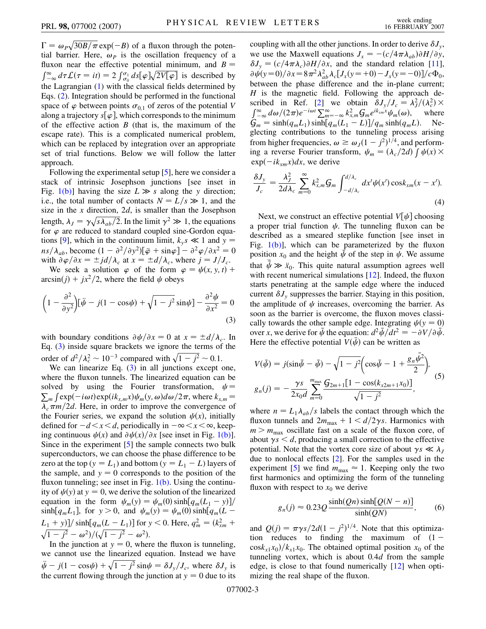$\Gamma = \omega_P \sqrt{30B/\pi} \exp(-B)$  of a fluxon through the potential barrier. Here,  $\omega_P$  is the oscillation frequency of a fluxon near the effective potential minimum, and  $B =$  $\int_{-\infty}^{\infty} d\tau \mathcal{L}(\tau = it) = 2 \int_{\sigma_0}^{\sigma_1} ds [\varphi] \sqrt{2V[\varphi]}$  is described by the Lagrangian [\(1\)](#page-0-0) with the classical fields determined by Eqs. [\(2\)](#page-1-1). Integration should be performed in the functional space of  $\varphi$  between points  $\sigma_{0,1}$  of zeros of the potential *V* along a trajectory  $s[\varphi]$ , which corresponds to the minimum of the effective action *B* (that is, the maximum of the escape rate). This is a complicated numerical problem, which can be replaced by integration over an appropriate set of trial functions. Below we will follow the latter approach.

Following the experimental setup [[5](#page-3-4)], here we consider a stack of intrinsic Josephson junctions [see inset in Fig. [1\(b\)](#page-1-0)] having the size  $L \gg s$  along the *y* direction; i.e., the total number of contacts  $N = L/s \gg 1$ , and the size in the *x* direction, 2*d*, is smaller than the Josephson length,  $\lambda_j = \gamma \sqrt{s \lambda_{ab}/2}$ . In the limit  $\gamma^2 \gg 1$ , the equations for  $\varphi$  are reduced to standard coupled sine-Gordon equa-tions [[9](#page-3-8)], which in the continuum limit,  $k_y s \ll 1$  and  $y =$  $n s / \lambda_{ab}$ , become  $(1 - \partial^2 / \partial y^2) [\ddot{\varphi} + \sin \varphi] - \partial^2 \varphi / \partial x^2 = 0$ with  $\partial \varphi / \partial x = \pm \mathrm{j}d/\lambda_c$  at  $x = \pm d/\lambda_c$ , where  $j = J/J_c$ .

We seek a solution  $\varphi$  of the form  $\varphi = \psi(x, y, t)$  +  $arcsin(j) + jx^2/2$ , where the field  $\psi$  obeys

<span id="page-2-1"></span>
$$
\left(1 - \frac{\partial^2}{\partial y^2}\right) \left[\ddot{\psi} - j(1 - \cos\psi) + \sqrt{1 - j^2}\sin\psi\right] - \frac{\partial^2 \psi}{\partial x^2} = 0\tag{3}
$$

with boundary conditions  $\partial \psi / \partial x = 0$  at  $x = \pm d / \lambda_c$ . In Eq. [\(3](#page-2-1)) inside square brackets we ignore the terms of the order of  $d^2/\lambda_c^2 \sim 10^{-3}$  compared with  $\sqrt{1-j^2} \sim 0.1$ .

We can linearize Eq.  $(3)$  $(3)$  in all junctions except one, where the fluxon tunnels. The linearized equation can be solved by using the Fourier transformation,  $\psi =$  $\sum_{m} \int \exp(-i\omega t) \exp(ik_{x,m}x) \psi_m(y, \omega) d\omega/2\pi$ , where  $k_{x,m}$  $\lambda_c \pi m/2d$ . Here, in order to improve the convergence of the Fourier series, we expand the solution  $\psi(x)$ , initially defined for  $-d \lt x \lt d$ , periodically in  $-\infty \lt x \lt \infty$ , keeping continuous  $\psi(x)$  and  $\partial \psi(x)/\partial x$  [see inset in Fig. [1\(b\)\]](#page-1-0). Since in the experiment [\[5\]](#page-3-4) the sample connects two bulk superconductors, we can choose the phase difference to be zero at the top ( $y = L_1$ ) and bottom ( $y = L_1 - L$ ) layers of the sample, and  $y = 0$  corresponds to the position of the fluxon tunneling; see inset in Fig.  $1(b)$ . Using the continuity of  $\psi(y)$  at  $y = 0$ , we derive the solution of the linearized equation in the form  $\psi_m(y) = \psi_m(0) \sinh[q_m(L_1 - y)]$ /  $\sinh[q_m L_1]$ , for  $y > 0$ , and  $\psi_m(y) = \psi_m(0) \sinh[q_m (L -$ *L*<sup>1</sup> *y=* sinh *qmL L*1 for *y <* 0. Here, *q*<sup>2</sup> *<sup>m</sup>* - *k*<sup>2</sup> *xm*  $\sqrt{1-j^2} - \omega^2$ )/ $(\sqrt{1-j^2} - \omega^2)$ .

In the junction at  $y = 0$ , where the fluxon is tunneling, we cannot use the linearized equation. Instead we have  $\ddot{\psi} - j(1 - \cos \psi) + \sqrt{1 - j^2} \sin \psi = \delta J_y/J_c$ , where  $\delta J_y$  is the current flowing through the junction at  $y = 0$  due to its coupling with all the other junctions. In order to derive  $\delta J_{v}$ , we use the Maxwell equations  $J_x = -(c/4\pi\lambda_{ab})\partial H/\partial y$ ,  $\delta J_y = (c/4\pi\lambda_c)\partial H/\partial x$ , and the standard relation [[11\]](#page-3-11),  $\frac{\partial \psi(y=0)}{\partial x} = 8\pi^2 \lambda_{ab}^2 \lambda_c [J_x(y=+0) - J_x(y=-0)]/c \Phi_0$ between the phase difference and the in-plane current; *H* is the magnetic field. Following the approach de-scribed in Ref. [[2\]](#page-3-1) we obtain  $\delta J_y/J_c = \lambda_J^2/(\lambda_c^2) \times$  $\int_{-\infty}^{\infty} d\omega/(2\pi)e^{-i\omega t} \sum_{m=-\infty}^{\infty} k_{x,m}^2 G_m e^{ik_{xm}x} \psi_m(\omega)$ , where  $G_m = \sinh(q_m L_1) \sinh[q_m (L_1 - L)]/q_m \sinh(q_m L)$ . Neglecting contributions to the tunneling process arising from higher frequencies,  $\omega \ge \omega_J (1 - j^2)^{1/4}$ , and performing a reverse Fourier transform,  $\psi_m = (\lambda_c/2d) \int \psi(x) dx$  $\exp(-ik_{xm}x)dx$ , we derive

$$
\frac{\delta J_y}{J_c} = \frac{\lambda_J^2}{2d\lambda_c} \sum_{m=0}^{\infty} k_{x,m}^2 G_m \int_{-d/\lambda_c}^{d/\lambda_c} dx' \psi(x') \cos k_{xm}(x - x'). \tag{4}
$$

Next, we construct an effective potential  $V[\psi]$  choosing a proper trial function  $\psi$ . The tunneling fluxon can be described as a smeared steplike function [see inset in Fig.  $1(b)$ ], which can be parameterized by the fluxon position  $x_0$  and the height  $\psi$  of the step in  $\psi$ . We assume that  $\ddot{\psi} \gg \ddot{x}_0$ . This quite natural assumption agrees well with recent numerical simulations [\[12\]](#page-3-12). Indeed, the fluxon starts penetrating at the sample edge where the induced current  $\delta J_{v}$  suppresses the barrier. Staying in this position, the amplitude of  $\psi$  increases, overcoming the barrier. As soon as the barrier is overcome, the fluxon moves classically towards the other sample edge. Integrating  $\psi(y = 0)$ over *x*, we derive for  $\bar{\psi}$  the equation:  $d^2 \bar{\psi} / dt^2 = -\partial V / \partial \bar{\psi}$ . Here the effective potential  $V(\psi)$  can be written as

<span id="page-2-0"></span>
$$
V(\bar{\psi}) = j(\sin\bar{\psi} - \bar{\psi}) - \sqrt{1 - j^2} \left(\cos\bar{\psi} - 1 + \frac{g_n \bar{\psi}^2}{2}\right),
$$
  

$$
g_n(j) = -\frac{\gamma s}{2x_0 d} \sum_{m=0}^{m_{\text{max}}} \frac{G_{2m+1}[1 - \cos(k_{x2m+1}x_0)]}{\sqrt{1 - j^2}},
$$
 (5)

where  $n = L_1 \lambda_{ab}/s$  labels the contact through which the fluxon tunnels and  $2m_{\text{max}} + 1 \le d/2\gamma s$ . Harmonics with  $m > m<sub>max</sub>$  oscillate fast on a scale of the fluxon core, of about  $\gamma s < d$ , producing a small correction to the effective potential. Note that the vortex core size of about  $\gamma s \ll \lambda_J$ due to nonlocal effects [\[2\]](#page-3-1). For the samples used in the experiment [[5\]](#page-3-4) we find  $m_{\text{max}} \approx 1$ . Keeping only the two first harmonics and optimizing the form of the tunneling fluxon with respect to  $x_0$  we derive

$$
g_n(j) \approx 0.23 Q \frac{\sinh(Qn)\sinh[Q(N-n)]}{\sinh(QN)},
$$
 (6)

and  $Q(j) = \pi \gamma s / 2d(1 - j^2)^{1/4}$ . Note that this optimization reduces to finding the maximum of  $(1 \cos k_{x1}x_0/k_{x1}x_0$ . The obtained optimal position  $x_0$  of the tunneling vortex, which is about 0*:*4*d* from the sample edge, is close to that found numerically [[12](#page-3-12)] when optimizing the real shape of the fluxon.